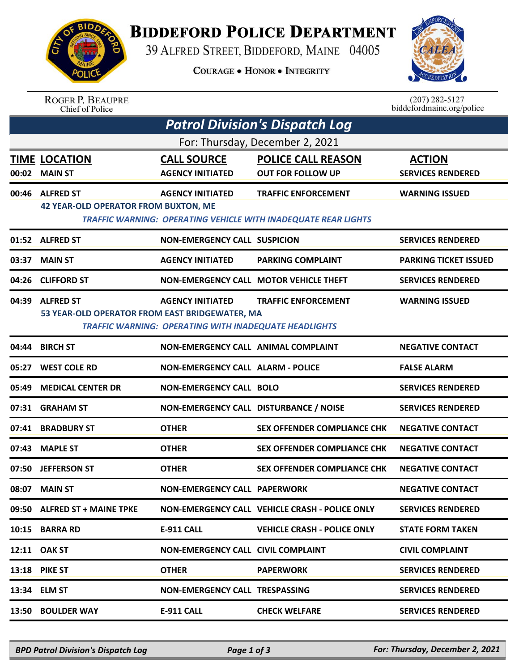

## **BIDDEFORD POLICE DEPARTMENT**

39 ALFRED STREET, BIDDEFORD, MAINE 04005

**COURAGE . HONOR . INTEGRITY** 



ROGER P. BEAUPRE<br>Chief of Police

 $(207)$  282-5127<br>biddefordmaine.org/police

| <b>Patrol Division's Dispatch Log</b> |                                                                    |                                                                                         |                                                                                                     |                                           |  |  |  |  |
|---------------------------------------|--------------------------------------------------------------------|-----------------------------------------------------------------------------------------|-----------------------------------------------------------------------------------------------------|-------------------------------------------|--|--|--|--|
| For: Thursday, December 2, 2021       |                                                                    |                                                                                         |                                                                                                     |                                           |  |  |  |  |
| 00:02                                 | <b>TIME LOCATION</b><br><b>MAIN ST</b>                             | <b>CALL SOURCE</b><br><b>AGENCY INITIATED</b>                                           | <b>POLICE CALL REASON</b><br><b>OUT FOR FOLLOW UP</b>                                               | <b>ACTION</b><br><b>SERVICES RENDERED</b> |  |  |  |  |
| 00:46                                 | <b>ALFRED ST</b><br><b>42 YEAR-OLD OPERATOR FROM BUXTON, ME</b>    | <b>AGENCY INITIATED</b>                                                                 | <b>TRAFFIC ENFORCEMENT</b><br><b>TRAFFIC WARNING: OPERATING VEHICLE WITH INADEQUATE REAR LIGHTS</b> | <b>WARNING ISSUED</b>                     |  |  |  |  |
|                                       | 01:52 ALFRED ST                                                    | <b>NON-EMERGENCY CALL SUSPICION</b>                                                     |                                                                                                     | <b>SERVICES RENDERED</b>                  |  |  |  |  |
| 03:37                                 | <b>MAIN ST</b>                                                     | <b>AGENCY INITIATED</b>                                                                 | <b>PARKING COMPLAINT</b>                                                                            | <b>PARKING TICKET ISSUED</b>              |  |  |  |  |
|                                       | 04:26 CLIFFORD ST                                                  |                                                                                         | NON-EMERGENCY CALL MOTOR VEHICLE THEFT                                                              | <b>SERVICES RENDERED</b>                  |  |  |  |  |
| 04:39                                 | <b>ALFRED ST</b><br>53 YEAR-OLD OPERATOR FROM EAST BRIDGEWATER, MA | <b>AGENCY INITIATED</b><br><b>TRAFFIC WARNING: OPERATING WITH INADEQUATE HEADLIGHTS</b> | <b>TRAFFIC ENFORCEMENT</b>                                                                          | <b>WARNING ISSUED</b>                     |  |  |  |  |
| 04:44                                 | <b>BIRCH ST</b>                                                    | NON-EMERGENCY CALL ANIMAL COMPLAINT                                                     |                                                                                                     | <b>NEGATIVE CONTACT</b>                   |  |  |  |  |
| 05:27                                 | <b>WEST COLE RD</b>                                                | <b>NON-EMERGENCY CALL ALARM - POLICE</b>                                                |                                                                                                     | <b>FALSE ALARM</b>                        |  |  |  |  |
| 05:49                                 | <b>MEDICAL CENTER DR</b>                                           | <b>NON-EMERGENCY CALL BOLO</b>                                                          |                                                                                                     | <b>SERVICES RENDERED</b>                  |  |  |  |  |
| 07:31                                 | <b>GRAHAM ST</b>                                                   | NON-EMERGENCY CALL DISTURBANCE / NOISE                                                  |                                                                                                     | <b>SERVICES RENDERED</b>                  |  |  |  |  |
| 07:41                                 | <b>BRADBURY ST</b>                                                 | <b>OTHER</b>                                                                            | <b>SEX OFFENDER COMPLIANCE CHK</b>                                                                  | <b>NEGATIVE CONTACT</b>                   |  |  |  |  |
| 07:43                                 | <b>MAPLE ST</b>                                                    | <b>OTHER</b>                                                                            | <b>SEX OFFENDER COMPLIANCE CHK</b>                                                                  | <b>NEGATIVE CONTACT</b>                   |  |  |  |  |
| 07:50                                 | <b>JEFFERSON ST</b>                                                | <b>OTHER</b>                                                                            | <b>SEX OFFENDER COMPLIANCE CHK</b>                                                                  | <b>NEGATIVE CONTACT</b>                   |  |  |  |  |
|                                       | 08:07 MAIN ST                                                      | <b>NON-EMERGENCY CALL PAPERWORK</b>                                                     |                                                                                                     | <b>NEGATIVE CONTACT</b>                   |  |  |  |  |
|                                       | 09:50 ALFRED ST + MAINE TPKE                                       |                                                                                         | NON-EMERGENCY CALL VEHICLE CRASH - POLICE ONLY                                                      | <b>SERVICES RENDERED</b>                  |  |  |  |  |
|                                       | 10:15 BARRA RD                                                     | <b>E-911 CALL</b>                                                                       | <b>VEHICLE CRASH - POLICE ONLY</b>                                                                  | <b>STATE FORM TAKEN</b>                   |  |  |  |  |
|                                       | 12:11 OAK ST                                                       | NON-EMERGENCY CALL CIVIL COMPLAINT                                                      |                                                                                                     | <b>CIVIL COMPLAINT</b>                    |  |  |  |  |
|                                       | 13:18 PIKE ST                                                      | <b>OTHER</b>                                                                            | <b>PAPERWORK</b>                                                                                    | <b>SERVICES RENDERED</b>                  |  |  |  |  |
|                                       | 13:34 ELM ST                                                       | NON-EMERGENCY CALL TRESPASSING                                                          |                                                                                                     | <b>SERVICES RENDERED</b>                  |  |  |  |  |
|                                       | 13:50 BOULDER WAY                                                  | <b>E-911 CALL</b>                                                                       | <b>CHECK WELFARE</b>                                                                                | <b>SERVICES RENDERED</b>                  |  |  |  |  |
|                                       |                                                                    |                                                                                         |                                                                                                     |                                           |  |  |  |  |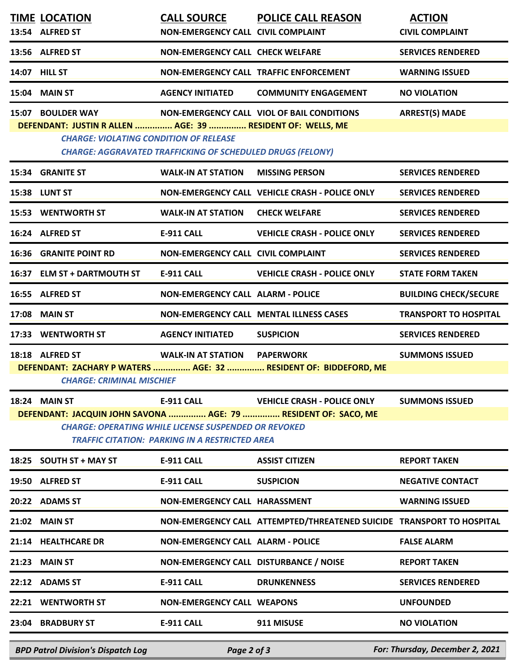|                                                                                                                                                                                                                                                                                               | <b>TIME LOCATION</b><br>13:54 ALFRED ST             | <b>CALL SOURCE</b><br>NON-EMERGENCY CALL CIVIL COMPLAINT | <b>POLICE CALL REASON</b>                                             | <b>ACTION</b><br><b>CIVIL COMPLAINT</b> |  |  |  |
|-----------------------------------------------------------------------------------------------------------------------------------------------------------------------------------------------------------------------------------------------------------------------------------------------|-----------------------------------------------------|----------------------------------------------------------|-----------------------------------------------------------------------|-----------------------------------------|--|--|--|
|                                                                                                                                                                                                                                                                                               | 13:56 ALFRED ST                                     | <b>NON-EMERGENCY CALL CHECK WELFARE</b>                  |                                                                       | <b>SERVICES RENDERED</b>                |  |  |  |
| 14:07                                                                                                                                                                                                                                                                                         | <b>HILL ST</b>                                      |                                                          | NON-EMERGENCY CALL TRAFFIC ENFORCEMENT                                | <b>WARNING ISSUED</b>                   |  |  |  |
| 15:04                                                                                                                                                                                                                                                                                         | <b>MAIN ST</b>                                      | <b>AGENCY INITIATED</b>                                  | <b>COMMUNITY ENGAGEMENT</b>                                           | <b>NO VIOLATION</b>                     |  |  |  |
| <b>BOULDER WAY</b><br><b>NON-EMERGENCY CALL VIOL OF BAIL CONDITIONS</b><br><b>ARREST(S) MADE</b><br>15:07<br>DEFENDANT: JUSTIN R ALLEN  AGE: 39  RESIDENT OF: WELLS, ME<br><b>CHARGE: VIOLATING CONDITION OF RELEASE</b><br><b>CHARGE: AGGRAVATED TRAFFICKING OF SCHEDULED DRUGS (FELONY)</b> |                                                     |                                                          |                                                                       |                                         |  |  |  |
| 15:34                                                                                                                                                                                                                                                                                         | <b>GRANITE ST</b>                                   | <b>WALK-IN AT STATION</b>                                | <b>MISSING PERSON</b>                                                 | <b>SERVICES RENDERED</b>                |  |  |  |
|                                                                                                                                                                                                                                                                                               | 15:38 LUNT ST                                       |                                                          | NON-EMERGENCY CALL VEHICLE CRASH - POLICE ONLY                        | <b>SERVICES RENDERED</b>                |  |  |  |
| 15:53                                                                                                                                                                                                                                                                                         | <b>WENTWORTH ST</b>                                 | <b>WALK-IN AT STATION</b>                                | <b>CHECK WELFARE</b>                                                  | <b>SERVICES RENDERED</b>                |  |  |  |
|                                                                                                                                                                                                                                                                                               | 16:24 ALFRED ST                                     | <b>E-911 CALL</b>                                        | <b>VEHICLE CRASH - POLICE ONLY</b>                                    | <b>SERVICES RENDERED</b>                |  |  |  |
| 16:36                                                                                                                                                                                                                                                                                         | <b>GRANITE POINT RD</b>                             | <b>NON-EMERGENCY CALL CIVIL COMPLAINT</b>                |                                                                       | <b>SERVICES RENDERED</b>                |  |  |  |
|                                                                                                                                                                                                                                                                                               | 16:37 ELM ST + DARTMOUTH ST                         | <b>E-911 CALL</b>                                        | <b>VEHICLE CRASH - POLICE ONLY</b>                                    | <b>STATE FORM TAKEN</b>                 |  |  |  |
|                                                                                                                                                                                                                                                                                               | 16:55 ALFRED ST                                     | <b>NON-EMERGENCY CALL ALARM - POLICE</b>                 |                                                                       | <b>BUILDING CHECK/SECURE</b>            |  |  |  |
| 17:08                                                                                                                                                                                                                                                                                         | <b>MAIN ST</b>                                      |                                                          | <b>NON-EMERGENCY CALL MENTAL ILLNESS CASES</b>                        | <b>TRANSPORT TO HOSPITAL</b>            |  |  |  |
|                                                                                                                                                                                                                                                                                               | 17:33 WENTWORTH ST                                  | <b>AGENCY INITIATED</b>                                  | <b>SUSPICION</b>                                                      | <b>SERVICES RENDERED</b>                |  |  |  |
|                                                                                                                                                                                                                                                                                               | 18:18 ALFRED ST<br><b>CHARGE: CRIMINAL MISCHIEF</b> | <b>WALK-IN AT STATION PAPERWORK</b>                      | DEFENDANT: ZACHARY P WATERS  AGE: 32  RESIDENT OF: BIDDEFORD, ME      | <b>SUMMONS ISSUED</b>                   |  |  |  |
| 18:24 MAIN ST<br><b>E-911 CALL</b><br><b>VEHICLE CRASH - POLICE ONLY</b><br><b>SUMMONS ISSUED</b><br>DEFENDANT: JACQUIN JOHN SAVONA  AGE: 79  RESIDENT OF: SACO, ME<br><b>CHARGE: OPERATING WHILE LICENSE SUSPENDED OR REVOKED</b><br><b>TRAFFIC CITATION: PARKING IN A RESTRICTED AREA</b>   |                                                     |                                                          |                                                                       |                                         |  |  |  |
|                                                                                                                                                                                                                                                                                               | 18:25 SOUTH ST + MAY ST                             | <b>E-911 CALL</b>                                        | <b>ASSIST CITIZEN</b>                                                 | <b>REPORT TAKEN</b>                     |  |  |  |
|                                                                                                                                                                                                                                                                                               | 19:50 ALFRED ST                                     | <b>E-911 CALL</b>                                        | <b>SUSPICION</b>                                                      | <b>NEGATIVE CONTACT</b>                 |  |  |  |
|                                                                                                                                                                                                                                                                                               | 20:22 ADAMS ST                                      | NON-EMERGENCY CALL HARASSMENT                            |                                                                       | <b>WARNING ISSUED</b>                   |  |  |  |
|                                                                                                                                                                                                                                                                                               | 21:02 MAIN ST                                       |                                                          | NON-EMERGENCY CALL ATTEMPTED/THREATENED SUICIDE TRANSPORT TO HOSPITAL |                                         |  |  |  |
|                                                                                                                                                                                                                                                                                               | 21:14 HEALTHCARE DR                                 | <b>NON-EMERGENCY CALL ALARM - POLICE</b>                 |                                                                       | <b>FALSE ALARM</b>                      |  |  |  |
|                                                                                                                                                                                                                                                                                               | 21:23 MAIN ST                                       | NON-EMERGENCY CALL DISTURBANCE / NOISE                   |                                                                       | <b>REPORT TAKEN</b>                     |  |  |  |
|                                                                                                                                                                                                                                                                                               | 22:12 ADAMS ST                                      | E-911 CALL                                               | <b>DRUNKENNESS</b>                                                    | <b>SERVICES RENDERED</b>                |  |  |  |
|                                                                                                                                                                                                                                                                                               | 22:21 WENTWORTH ST                                  | <b>NON-EMERGENCY CALL WEAPONS</b>                        |                                                                       | <b>UNFOUNDED</b>                        |  |  |  |
|                                                                                                                                                                                                                                                                                               | 23:04 BRADBURY ST                                   | E-911 CALL                                               | 911 MISUSE                                                            | <b>NO VIOLATION</b>                     |  |  |  |
|                                                                                                                                                                                                                                                                                               | <b>BPD Patrol Division's Dispatch Log</b>           | Page 2 of 3                                              |                                                                       | For: Thursday, December 2, 2021         |  |  |  |